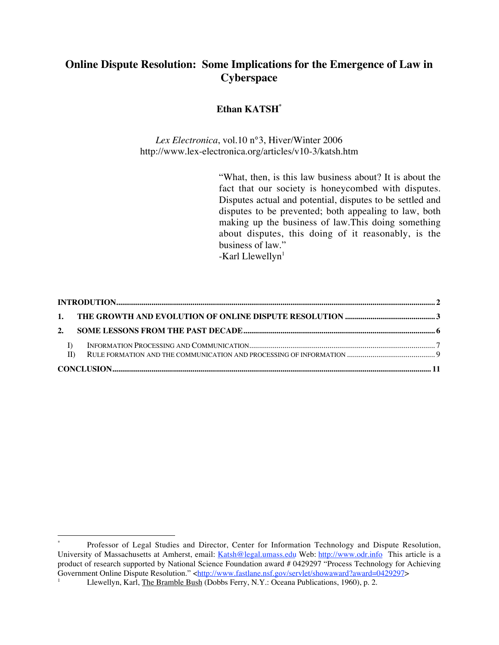## **Online Dispute Resolution: Some Implications for the Emergence of Law in Cyberspace**

#### **Ethan KATSH\***

*Lex Electronica*, vol.10 n°3, Hiver/Winter 2006 http://www.lex-electronica.org/articles/v10-3/katsh.htm

> "What, then, is this law business about? It is about the fact that our society is honeycombed with disputes. Disputes actual and potential, disputes to be settled and disputes to be prevented; both appealing to law, both making up the business of law.This doing something about disputes, this doing of it reasonably, is the business of law."

 $-Karl Llewellyn<sup>1</sup>$ 

| $\Box$ |  |  |
|--------|--|--|
|        |  |  |

 $\overline{a}$ 

<sup>\*</sup> Professor of Legal Studies and Director, Center for Information Technology and Dispute Resolution, University of Massachusetts at Amherst, email: Katsh@legal.umass.edu Web: http://www.odr.info This article is a product of research supported by National Science Foundation award # 0429297 "Process Technology for Achieving Government Online Dispute Resolution." <http://www.fastlane.nsf.gov/servlet/showaward?award=0429297> 1

Llewellyn, Karl, The Bramble Bush (Dobbs Ferry, N.Y.: Oceana Publications, 1960), p. 2.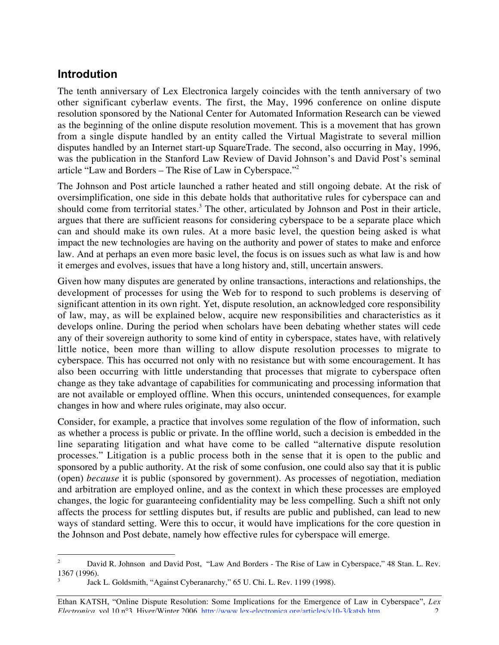## **Introdution**

The tenth anniversary of Lex Electronica largely coincides with the tenth anniversary of two other significant cyberlaw events. The first, the May, 1996 conference on online dispute resolution sponsored by the National Center for Automated Information Research can be viewed as the beginning of the online dispute resolution movement. This is a movement that has grown from a single dispute handled by an entity called the Virtual Magistrate to several million disputes handled by an Internet start-up SquareTrade. The second, also occurring in May, 1996, was the publication in the Stanford Law Review of David Johnson's and David Post's seminal article "Law and Borders – The Rise of Law in Cyberspace."2

The Johnson and Post article launched a rather heated and still ongoing debate. At the risk of oversimplification, one side in this debate holds that authoritative rules for cyberspace can and should come from territorial states.<sup>3</sup> The other, articulated by Johnson and Post in their article, argues that there are sufficient reasons for considering cyberspace to be a separate place which can and should make its own rules. At a more basic level, the question being asked is what impact the new technologies are having on the authority and power of states to make and enforce law. And at perhaps an even more basic level, the focus is on issues such as what law is and how it emerges and evolves, issues that have a long history and, still, uncertain answers.

Given how many disputes are generated by online transactions, interactions and relationships, the development of processes for using the Web for to respond to such problems is deserving of significant attention in its own right. Yet, dispute resolution, an acknowledged core responsibility of law, may, as will be explained below, acquire new responsibilities and characteristics as it develops online. During the period when scholars have been debating whether states will cede any of their sovereign authority to some kind of entity in cyberspace, states have, with relatively little notice, been more than willing to allow dispute resolution processes to migrate to cyberspace. This has occurred not only with no resistance but with some encouragement. It has also been occurring with little understanding that processes that migrate to cyberspace often change as they take advantage of capabilities for communicating and processing information that are not available or employed offline. When this occurs, unintended consequences, for example changes in how and where rules originate, may also occur.

Consider, for example, a practice that involves some regulation of the flow of information, such as whether a process is public or private. In the offline world, such a decision is embedded in the line separating litigation and what have come to be called "alternative dispute resolution processes." Litigation is a public process both in the sense that it is open to the public and sponsored by a public authority. At the risk of some confusion, one could also say that it is public (open) *because* it is public (sponsored by government). As processes of negotiation, mediation and arbitration are employed online, and as the context in which these processes are employed changes, the logic for guaranteeing confidentiality may be less compelling. Such a shift not only affects the process for settling disputes but, if results are public and published, can lead to new ways of standard setting. Were this to occur, it would have implications for the core question in the Johnson and Post debate, namely how effective rules for cyberspace will emerge.

 $\frac{1}{2}$  David R. Johnson and David Post, "Law And Borders - The Rise of Law in Cyberspace," 48 Stan. L. Rev. 1367 (1996). 3

Jack L. Goldsmith, "Against Cyberanarchy," 65 U. Chi. L. Rev. 1199 (1998).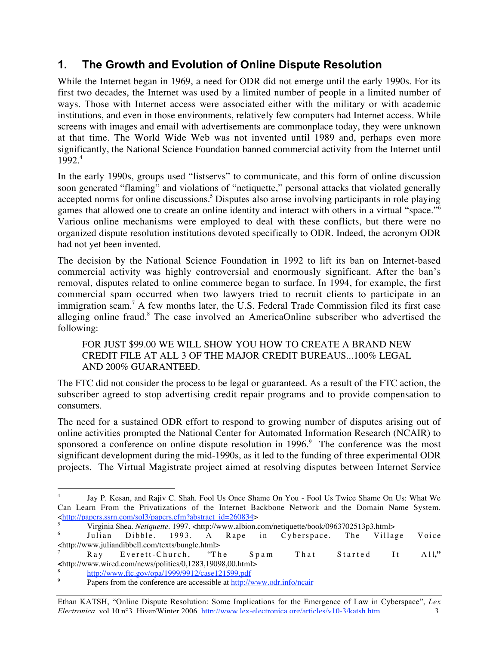# **1. The Growth and Evolution of Online Dispute Resolution**

While the Internet began in 1969, a need for ODR did not emerge until the early 1990s. For its first two decades, the Internet was used by a limited number of people in a limited number of ways. Those with Internet access were associated either with the military or with academic institutions, and even in those environments, relatively few computers had Internet access. While screens with images and email with advertisements are commonplace today, they were unknown at that time. The World Wide Web was not invented until 1989 and, perhaps even more significantly, the National Science Foundation banned commercial activity from the Internet until 1992.<sup>4</sup>

In the early 1990s, groups used "listservs" to communicate, and this form of online discussion soon generated "flaming" and violations of "netiquette," personal attacks that violated generally accepted norms for online discussions.<sup>5</sup> Disputes also arose involving participants in role playing games that allowed one to create an online identity and interact with others in a virtual "space."<sup>6</sup> Various online mechanisms were employed to deal with these conflicts, but there were no organized dispute resolution institutions devoted specifically to ODR. Indeed, the acronym ODR had not yet been invented.

The decision by the National Science Foundation in 1992 to lift its ban on Internet-based commercial activity was highly controversial and enormously significant. After the ban's removal, disputes related to online commerce began to surface. In 1994, for example, the first commercial spam occurred when two lawyers tried to recruit clients to participate in an immigration scam.<sup>7</sup> A few months later, the U.S. Federal Trade Commission filed its first case alleging online fraud.<sup>8</sup> The case involved an AmericaOnline subscriber who advertised the following:

#### FOR JUST \$99.00 WE WILL SHOW YOU HOW TO CREATE A BRAND NEW CREDIT FILE AT ALL 3 OF THE MAJOR CREDIT BUREAUS...100% LEGAL AND 200% GUARANTEED.

The FTC did not consider the process to be legal or guaranteed. As a result of the FTC action, the subscriber agreed to stop advertising credit repair programs and to provide compensation to consumers.

The need for a sustained ODR effort to respond to growing number of disputes arising out of online activities prompted the National Center for Automated Information Research (NCAIR) to sponsored a conference on online dispute resolution in  $1996$ . The conference was the most significant development during the mid-1990s, as it led to the funding of three experimental ODR projects. The Virtual Magistrate project aimed at resolving disputes between Internet Service

 $\overline{a}$ 4 Jay P. Kesan, and Rajiv C. Shah. Fool Us Once Shame On You - Fool Us Twice Shame On Us: What We Can Learn From the Privatizations of the Internet Backbone Network and the Domain Name System. <http://papers.ssrn.com/sol3/papers.cfm?abstract\_id=260834>

Virginia Shea. *Netiquette.* 1997. <http://www.albion.com/netiquette/book/0963702513p3.html>

Julian Dibble. 1993. A Rape in Cyberspace. The Village Voice <http://www.juliandibbell.com/texts/bungle.html>

<sup>7</sup> Ray Everett-Church, "The Spam That Started It All**," <**http://www.wired.com/news/politics/0,1283,19098,00.html>

http://www.ftc.gov/opa/1999/9912/case121599.pdf

<sup>9</sup> Papers from the conference are accessible at http://www.odr.info/ncair

Ethan KATSH, "Online Dispute Resolution: Some Implications for the Emergence of Law in Cyberspace", *Lex Electronica*, vol.10 n°3, Hiver/Winter 2006, http://www.lex-electronica.org/articles/v10-3/katsh.htm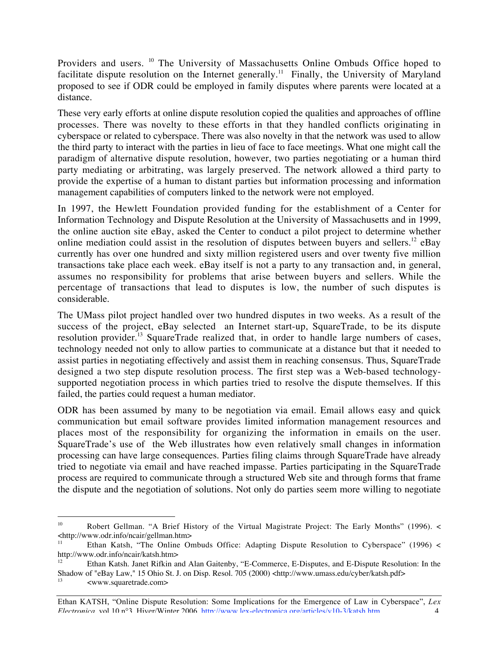Providers and users. <sup>10</sup> The University of Massachusetts Online Ombuds Office hoped to facilitate dispute resolution on the Internet generally.<sup>11</sup> Finally, the University of Maryland proposed to see if ODR could be employed in family disputes where parents were located at a distance.

These very early efforts at online dispute resolution copied the qualities and approaches of offline processes. There was novelty to these efforts in that they handled conflicts originating in cyberspace or related to cyberspace. There was also novelty in that the network was used to allow the third party to interact with the parties in lieu of face to face meetings. What one might call the paradigm of alternative dispute resolution, however, two parties negotiating or a human third party mediating or arbitrating, was largely preserved. The network allowed a third party to provide the expertise of a human to distant parties but information processing and information management capabilities of computers linked to the network were not employed.

In 1997, the Hewlett Foundation provided funding for the establishment of a Center for Information Technology and Dispute Resolution at the University of Massachusetts and in 1999, the online auction site eBay, asked the Center to conduct a pilot project to determine whether online mediation could assist in the resolution of disputes between buyers and sellers.<sup>12</sup> eBay currently has over one hundred and sixty million registered users and over twenty five million transactions take place each week. eBay itself is not a party to any transaction and, in general, assumes no responsibility for problems that arise between buyers and sellers. While the percentage of transactions that lead to disputes is low, the number of such disputes is considerable.

The UMass pilot project handled over two hundred disputes in two weeks. As a result of the success of the project, eBay selected an Internet start-up, SquareTrade, to be its dispute resolution provider.<sup>13</sup> SquareTrade realized that, in order to handle large numbers of cases, technology needed not only to allow parties to communicate at a distance but that it needed to assist parties in negotiating effectively and assist them in reaching consensus. Thus, SquareTrade designed a two step dispute resolution process. The first step was a Web-based technologysupported negotiation process in which parties tried to resolve the dispute themselves. If this failed, the parties could request a human mediator.

ODR has been assumed by many to be negotiation via email. Email allows easy and quick communication but email software provides limited information management resources and places most of the responsibility for organizing the information in emails on the user. SquareTrade's use of the Web illustrates how even relatively small changes in information processing can have large consequences. Parties filing claims through SquareTrade have already tried to negotiate via email and have reached impasse. Parties participating in the SquareTrade process are required to communicate through a structured Web site and through forms that frame the dispute and the negotiation of solutions. Not only do parties seem more willing to negotiate

 $10<sup>10</sup>$ <sup>10</sup> Robert Gellman. "A Brief History of the Virtual Magistrate Project: The Early Months" (1996). < <http://www.odr.info/ncair/gellman.htm>

<sup>11</sup> Ethan Katsh, "The Online Ombuds Office: Adapting Dispute Resolution to Cyberspace" (1996) < http://www.odr.info/ncair/katsh.htm>

Ethan Katsh. Janet Rifkin and Alan Gaitenby, "E-Commerce, E-Disputes, and E-Dispute Resolution: In the Shadow of "eBay Law," 15 Ohio St. J. on Disp. Resol. 705 (2000) <http://www.umass.edu/cyber/katsh.pdf>

<sup>13</sup> <www.squaretrade.com>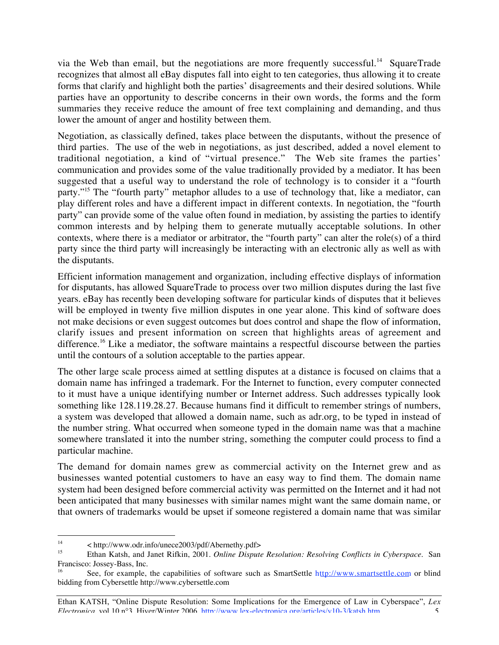via the Web than email, but the negotiations are more frequently successful.<sup>14</sup> SquareTrade recognizes that almost all eBay disputes fall into eight to ten categories, thus allowing it to create forms that clarify and highlight both the parties' disagreements and their desired solutions. While parties have an opportunity to describe concerns in their own words, the forms and the form summaries they receive reduce the amount of free text complaining and demanding, and thus lower the amount of anger and hostility between them.

Negotiation, as classically defined, takes place between the disputants, without the presence of third parties. The use of the web in negotiations, as just described, added a novel element to traditional negotiation, a kind of "virtual presence." The Web site frames the parties' communication and provides some of the value traditionally provided by a mediator. It has been suggested that a useful way to understand the role of technology is to consider it a "fourth party."<sup>15</sup> The "fourth party" metaphor alludes to a use of technology that, like a mediator, can play different roles and have a different impact in different contexts. In negotiation, the "fourth party" can provide some of the value often found in mediation, by assisting the parties to identify common interests and by helping them to generate mutually acceptable solutions. In other contexts, where there is a mediator or arbitrator, the "fourth party" can alter the role(s) of a third party since the third party will increasingly be interacting with an electronic ally as well as with the disputants.

Efficient information management and organization, including effective displays of information for disputants, has allowed SquareTrade to process over two million disputes during the last five years. eBay has recently been developing software for particular kinds of disputes that it believes will be employed in twenty five million disputes in one year alone. This kind of software does not make decisions or even suggest outcomes but does control and shape the flow of information, clarify issues and present information on screen that highlights areas of agreement and difference.<sup>16</sup> Like a mediator, the software maintains a respectful discourse between the parties until the contours of a solution acceptable to the parties appear.

The other large scale process aimed at settling disputes at a distance is focused on claims that a domain name has infringed a trademark. For the Internet to function, every computer connected to it must have a unique identifying number or Internet address. Such addresses typically look something like 128.119.28.27. Because humans find it difficult to remember strings of numbers, a system was developed that allowed a domain name, such as adr.org, to be typed in instead of the number string. What occurred when someone typed in the domain name was that a machine somewhere translated it into the number string, something the computer could process to find a particular machine.

The demand for domain names grew as commercial activity on the Internet grew and as businesses wanted potential customers to have an easy way to find them. The domain name system had been designed before commercial activity was permitted on the Internet and it had not been anticipated that many businesses with similar names might want the same domain name, or that owners of trademarks would be upset if someone registered a domain name that was similar

14 < http://www.odr.info/unece2003/pdf/Abernethy.pdf>

<sup>15</sup> Ethan Katsh, and Janet Rifkin, 2001. *Online Dispute Resolution: Resolving Conflicts in Cyberspace.* San Francisco: Jossey-Bass, Inc.

See, for example, the capabilities of software such as SmartSettle http://www.smartsettle.com or blind bidding from Cybersettle http://www.cybersettle.com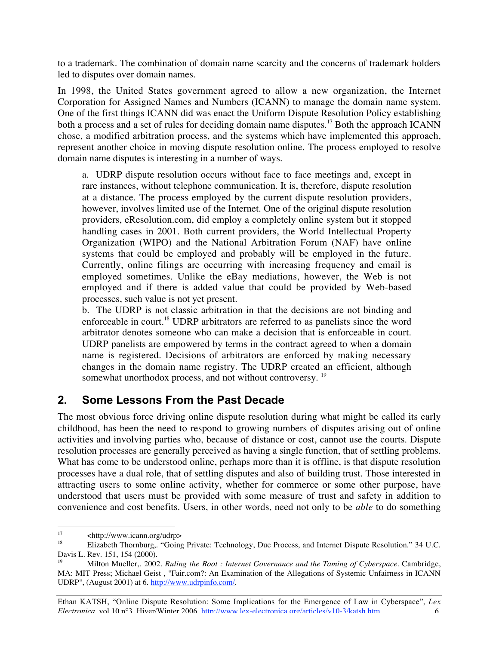to a trademark. The combination of domain name scarcity and the concerns of trademark holders led to disputes over domain names.

In 1998, the United States government agreed to allow a new organization, the Internet Corporation for Assigned Names and Numbers (ICANN) to manage the domain name system. One of the first things ICANN did was enact the Uniform Dispute Resolution Policy establishing both a process and a set of rules for deciding domain name disputes.<sup>17</sup> Both the approach ICANN chose, a modified arbitration process, and the systems which have implemented this approach, represent another choice in moving dispute resolution online. The process employed to resolve domain name disputes is interesting in a number of ways.

a. UDRP dispute resolution occurs without face to face meetings and, except in rare instances, without telephone communication. It is, therefore, dispute resolution at a distance. The process employed by the current dispute resolution providers, however, involves limited use of the Internet. One of the original dispute resolution providers, eResolution.com, did employ a completely online system but it stopped handling cases in 2001. Both current providers, the World Intellectual Property Organization (WIPO) and the National Arbitration Forum (NAF) have online systems that could be employed and probably will be employed in the future. Currently, online filings are occurring with increasing frequency and email is employed sometimes. Unlike the eBay mediations, however, the Web is not employed and if there is added value that could be provided by Web-based processes, such value is not yet present.

b. The UDRP is not classic arbitration in that the decisions are not binding and enforceable in court.<sup>18</sup> UDRP arbitrators are referred to as panelists since the word arbitrator denotes someone who can make a decision that is enforceable in court. UDRP panelists are empowered by terms in the contract agreed to when a domain name is registered. Decisions of arbitrators are enforced by making necessary changes in the domain name registry. The UDRP created an efficient, although somewhat unorthodox process, and not without controversy.<sup>19</sup>

# **2. Some Lessons From the Past Decade**

The most obvious force driving online dispute resolution during what might be called its early childhood, has been the need to respond to growing numbers of disputes arising out of online activities and involving parties who, because of distance or cost, cannot use the courts. Dispute resolution processes are generally perceived as having a single function, that of settling problems. What has come to be understood online, perhaps more than it is offline, is that dispute resolution processes have a dual role, that of settling disputes and also of building trust. Those interested in attracting users to some online activity, whether for commerce or some other purpose, have understood that users must be provided with some measure of trust and safety in addition to convenience and cost benefits. Users, in other words, need not only to be *able* to do something

Ethan KATSH, "Online Dispute Resolution: Some Implications for the Emergence of Law in Cyberspace", *Lex Electronica*, vol.10 n°3, Hiver/Winter 2006, http://www.lex-electronica.org/articles/v10-3/katsh.htm

<sup>&</sup>lt;sup>17</sup> <http://www.icann.org/udrp>

<sup>18</sup> Elizabeth Thornburg,. "Going Private: Technology, Due Process, and Internet Dispute Resolution." 34 U.C. Davis L. Rev. 151, 154 (2000).

<sup>19</sup> Milton Mueller,. 2002. *Ruling the Root : Internet Governance and the Taming of Cyberspace.* Cambridge, MA: MIT Press; Michael Geist , "Fair.com?: An Examination of the Allegations of Systemic Unfairness in ICANN UDRP", (August 2001) at 6. http://www.udrpinfo.com/.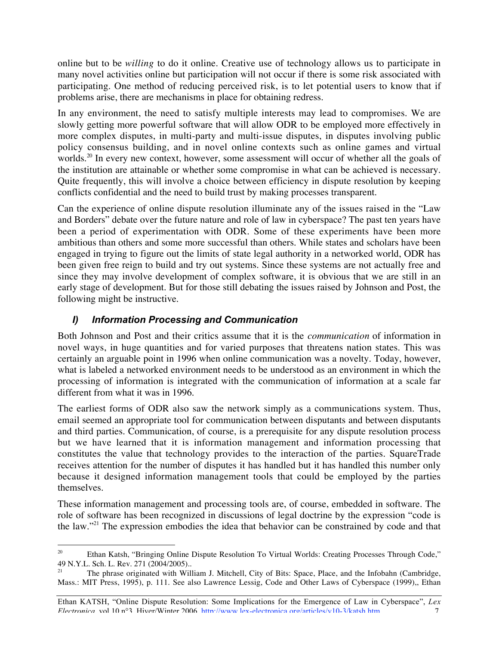online but to be *willing* to do it online. Creative use of technology allows us to participate in many novel activities online but participation will not occur if there is some risk associated with participating. One method of reducing perceived risk, is to let potential users to know that if problems arise, there are mechanisms in place for obtaining redress.

In any environment, the need to satisfy multiple interests may lead to compromises. We are slowly getting more powerful software that will allow ODR to be employed more effectively in more complex disputes, in multi-party and multi-issue disputes, in disputes involving public policy consensus building, and in novel online contexts such as online games and virtual worlds.<sup>20</sup> In every new context, however, some assessment will occur of whether all the goals of the institution are attainable or whether some compromise in what can be achieved is necessary. Quite frequently, this will involve a choice between efficiency in dispute resolution by keeping conflicts confidential and the need to build trust by making processes transparent.

Can the experience of online dispute resolution illuminate any of the issues raised in the "Law and Borders" debate over the future nature and role of law in cyberspace? The past ten years have been a period of experimentation with ODR. Some of these experiments have been more ambitious than others and some more successful than others. While states and scholars have been engaged in trying to figure out the limits of state legal authority in a networked world, ODR has been given free reign to build and try out systems. Since these systems are not actually free and since they may involve development of complex software, it is obvious that we are still in an early stage of development. But for those still debating the issues raised by Johnson and Post, the following might be instructive.

### *I) Information Processing and Communication*

Both Johnson and Post and their critics assume that it is the *communication* of information in novel ways, in huge quantities and for varied purposes that threatens nation states. This was certainly an arguable point in 1996 when online communication was a novelty. Today, however, what is labeled a networked environment needs to be understood as an environment in which the processing of information is integrated with the communication of information at a scale far different from what it was in 1996.

The earliest forms of ODR also saw the network simply as a communications system. Thus, email seemed an appropriate tool for communication between disputants and between disputants and third parties. Communication, of course, is a prerequisite for any dispute resolution process but we have learned that it is information management and information processing that constitutes the value that technology provides to the interaction of the parties. SquareTrade receives attention for the number of disputes it has handled but it has handled this number only because it designed information management tools that could be employed by the parties themselves.

These information management and processing tools are, of course, embedded in software. The role of software has been recognized in discussions of legal doctrine by the expression "code is the law."21 The expression embodies the idea that behavior can be constrained by code and that

 $\overline{a}$ <sup>20</sup> Ethan Katsh, "Bringing Online Dispute Resolution To Virtual Worlds: Creating Processes Through Code," 49 N.Y.L. Sch. L. Rev. 271 (2004/2005)..

<sup>21</sup> The phrase originated with William J. Mitchell, City of Bits: Space, Place, and the Infobahn (Cambridge, Mass.: MIT Press, 1995), p. 111. See also Lawrence Lessig, Code and Other Laws of Cyberspace (1999),, Ethan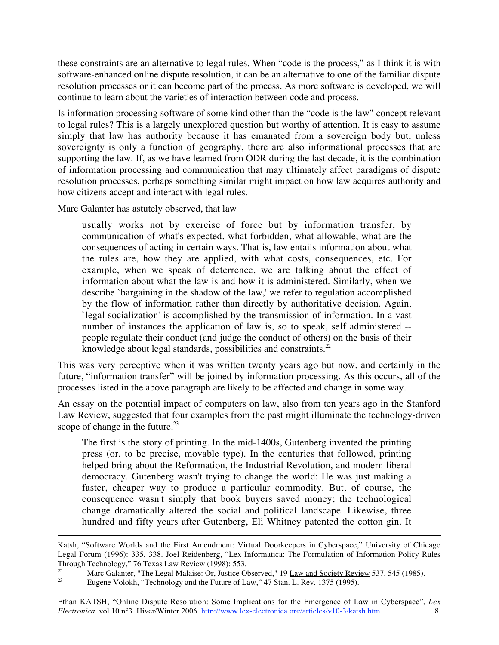these constraints are an alternative to legal rules. When "code is the process," as I think it is with software-enhanced online dispute resolution, it can be an alternative to one of the familiar dispute resolution processes or it can become part of the process. As more software is developed, we will continue to learn about the varieties of interaction between code and process.

Is information processing software of some kind other than the "code is the law" concept relevant to legal rules? This is a largely unexplored question but worthy of attention. It is easy to assume simply that law has authority because it has emanated from a sovereign body but, unless sovereignty is only a function of geography, there are also informational processes that are supporting the law. If, as we have learned from ODR during the last decade, it is the combination of information processing and communication that may ultimately affect paradigms of dispute resolution processes, perhaps something similar might impact on how law acquires authority and how citizens accept and interact with legal rules.

Marc Galanter has astutely observed, that law

<u>.</u>

usually works not by exercise of force but by information transfer, by communication of what's expected, what forbidden, what allowable, what are the consequences of acting in certain ways. That is, law entails information about what the rules are, how they are applied, with what costs, consequences, etc. For example, when we speak of deterrence, we are talking about the effect of information about what the law is and how it is administered. Similarly, when we describe `bargaining in the shadow of the law,' we refer to regulation accomplished by the flow of information rather than directly by authoritative decision. Again, `legal socialization' is accomplished by the transmission of information. In a vast number of instances the application of law is, so to speak, self administered - people regulate their conduct (and judge the conduct of others) on the basis of their knowledge about legal standards, possibilities and constraints. $^{22}$ 

This was very perceptive when it was written twenty years ago but now, and certainly in the future, "information transfer" will be joined by information processing. As this occurs, all of the processes listed in the above paragraph are likely to be affected and change in some way.

An essay on the potential impact of computers on law, also from ten years ago in the Stanford Law Review, suggested that four examples from the past might illuminate the technology-driven scope of change in the future. $^{23}$ 

The first is the story of printing. In the mid-1400s, Gutenberg invented the printing press (or, to be precise, movable type). In the centuries that followed, printing helped bring about the Reformation, the Industrial Revolution, and modern liberal democracy. Gutenberg wasn't trying to change the world: He was just making a faster, cheaper way to produce a particular commodity. But, of course, the consequence wasn't simply that book buyers saved money; the technological change dramatically altered the social and political landscape. Likewise, three hundred and fifty years after Gutenberg, Eli Whitney patented the cotton gin. It

Katsh, "Software Worlds and the First Amendment: Virtual Doorkeepers in Cyberspace," University of Chicago Legal Forum (1996): 335, 338. Joel Reidenberg, "Lex Informatica: The Formulation of Information Policy Rules Through Technology," 76 Texas Law Review (1998): 553.

<sup>22</sup> Marc Galanter, "The Legal Malaise: Or, Justice Observed,"  $19$  Law and Society Review 537, 545 (1985).<br>23 Eugene Volokh "Technology and the Euture of Law," 47 Stap J, Bey, 1375 (1995).

Eugene Volokh, "Technology and the Future of Law," 47 Stan. L. Rev. 1375 (1995).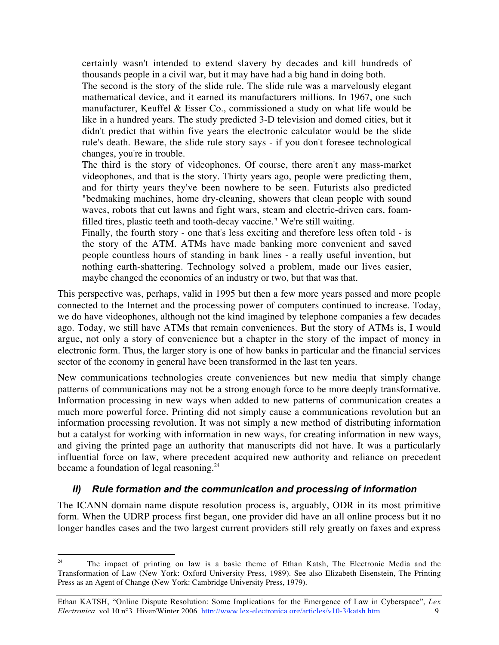certainly wasn't intended to extend slavery by decades and kill hundreds of thousands people in a civil war, but it may have had a big hand in doing both.

The second is the story of the slide rule. The slide rule was a marvelously elegant mathematical device, and it earned its manufacturers millions. In 1967, one such manufacturer, Keuffel & Esser Co., commissioned a study on what life would be like in a hundred years. The study predicted 3-D television and domed cities, but it didn't predict that within five years the electronic calculator would be the slide rule's death. Beware, the slide rule story says - if you don't foresee technological changes, you're in trouble.

The third is the story of videophones. Of course, there aren't any mass-market videophones, and that is the story. Thirty years ago, people were predicting them, and for thirty years they've been nowhere to be seen. Futurists also predicted "bedmaking machines, home dry-cleaning, showers that clean people with sound waves, robots that cut lawns and fight wars, steam and electric-driven cars, foamfilled tires, plastic teeth and tooth-decay vaccine." We're still waiting.

Finally, the fourth story - one that's less exciting and therefore less often told - is the story of the ATM. ATMs have made banking more convenient and saved people countless hours of standing in bank lines - a really useful invention, but nothing earth-shattering. Technology solved a problem, made our lives easier, maybe changed the economics of an industry or two, but that was that.

This perspective was, perhaps, valid in 1995 but then a few more years passed and more people connected to the Internet and the processing power of computers continued to increase. Today, we do have videophones, although not the kind imagined by telephone companies a few decades ago. Today, we still have ATMs that remain conveniences. But the story of ATMs is, I would argue, not only a story of convenience but a chapter in the story of the impact of money in electronic form. Thus, the larger story is one of how banks in particular and the financial services sector of the economy in general have been transformed in the last ten years.

New communications technologies create conveniences but new media that simply change patterns of communications may not be a strong enough force to be more deeply transformative. Information processing in new ways when added to new patterns of communication creates a much more powerful force. Printing did not simply cause a communications revolution but an information processing revolution. It was not simply a new method of distributing information but a catalyst for working with information in new ways, for creating information in new ways, and giving the printed page an authority that manuscripts did not have. It was a particularly influential force on law, where precedent acquired new authority and reliance on precedent became a foundation of legal reasoning.<sup>24</sup>

### *II) Rule formation and the communication and processing of information*

The ICANN domain name dispute resolution process is, arguably, ODR in its most primitive form. When the UDRP process first began, one provider did have an all online process but it no longer handles cases and the two largest current providers still rely greatly on faxes and express

 $\frac{1}{24}$  The impact of printing on law is a basic theme of Ethan Katsh, The Electronic Media and the Transformation of Law (New York: Oxford University Press, 1989). See also Elizabeth Eisenstein, The Printing Press as an Agent of Change (New York: Cambridge University Press, 1979).

Ethan KATSH, "Online Dispute Resolution: Some Implications for the Emergence of Law in Cyberspace", *Lex Electronica*, vol.10 n°3, Hiver/Winter 2006, http://www.lex-electronica.org/articles/v10-3/katsh.htm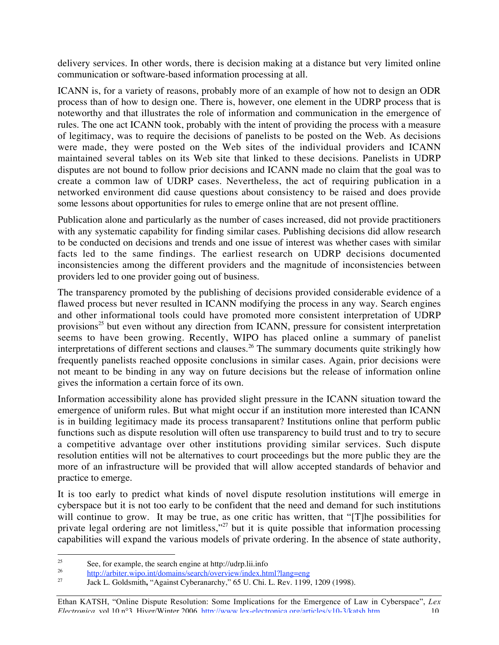delivery services. In other words, there is decision making at a distance but very limited online communication or software-based information processing at all.

ICANN is, for a variety of reasons, probably more of an example of how not to design an ODR process than of how to design one. There is, however, one element in the UDRP process that is noteworthy and that illustrates the role of information and communication in the emergence of rules. The one act ICANN took, probably with the intent of providing the process with a measure of legitimacy, was to require the decisions of panelists to be posted on the Web. As decisions were made, they were posted on the Web sites of the individual providers and ICANN maintained several tables on its Web site that linked to these decisions. Panelists in UDRP disputes are not bound to follow prior decisions and ICANN made no claim that the goal was to create a common law of UDRP cases. Nevertheless, the act of requiring publication in a networked environment did cause questions about consistency to be raised and does provide some lessons about opportunities for rules to emerge online that are not present offline.

Publication alone and particularly as the number of cases increased, did not provide practitioners with any systematic capability for finding similar cases. Publishing decisions did allow research to be conducted on decisions and trends and one issue of interest was whether cases with similar facts led to the same findings. The earliest research on UDRP decisions documented inconsistencies among the different providers and the magnitude of inconsistencies between providers led to one provider going out of business.

The transparency promoted by the publishing of decisions provided considerable evidence of a flawed process but never resulted in ICANN modifying the process in any way. Search engines and other informational tools could have promoted more consistent interpretation of UDRP provisions<sup>25</sup> but even without any direction from ICANN, pressure for consistent interpretation seems to have been growing. Recently, WIPO has placed online a summary of panelist interpretations of different sections and clauses.<sup>26</sup> The summary documents quite strikingly how frequently panelists reached opposite conclusions in similar cases. Again, prior decisions were not meant to be binding in any way on future decisions but the release of information online gives the information a certain force of its own.

Information accessibility alone has provided slight pressure in the ICANN situation toward the emergence of uniform rules. But what might occur if an institution more interested than ICANN is in building legitimacy made its process transaparent? Institutions online that perform public functions such as dispute resolution will often use transparency to build trust and to try to secure a competitive advantage over other institutions providing similar services. Such dispute resolution entities will not be alternatives to court proceedings but the more public they are the more of an infrastructure will be provided that will allow accepted standards of behavior and practice to emerge.

It is too early to predict what kinds of novel dispute resolution institutions will emerge in cyberspace but it is not too early to be confident that the need and demand for such institutions will continue to grow. It may be true, as one critic has written, that "[T]he possibilities for private legal ordering are not limitless,"<sup>27</sup> but it is quite possible that information processing capabilities will expand the various models of private ordering. In the absence of state authority,

<sup>25</sup> <sup>25</sup> See, for example, the search engine at http://udrp.lii.info<br> $\frac{26}{100}$ 

<sup>&</sup>lt;sup>26</sup> http://arbiter.wipo.int/domains/search/overview/index.html?lang=eng<br><sup>27</sup> Leak L. Caldemith. "Agginat Cybarenegathy,"  $\epsilon$ 5 U. Chi, L. Bay, 1100

<sup>27</sup> Jack L. Goldsmith**,** "Against Cyberanarchy," 65 U. Chi. L. Rev. 1199, 1209 (1998).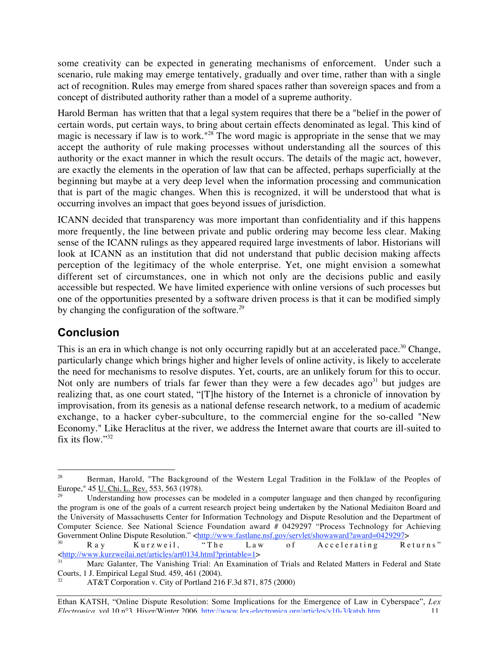some creativity can be expected in generating mechanisms of enforcement. Under such a scenario, rule making may emerge tentatively, gradually and over time, rather than with a single act of recognition. Rules may emerge from shared spaces rather than sovereign spaces and from a concept of distributed authority rather than a model of a supreme authority.

Harold Berman has written that that a legal system requires that there be a "belief in the power of certain words, put certain ways, to bring about certain effects denominated as legal. This kind of magic is necessary if law is to work."28 The word magic is appropriate in the sense that we may accept the authority of rule making processes without understanding all the sources of this authority or the exact manner in which the result occurs. The details of the magic act, however, are exactly the elements in the operation of law that can be affected, perhaps superficially at the beginning but maybe at a very deep level when the information processing and communication that is part of the magic changes. When this is recognized, it will be understood that what is occurring involves an impact that goes beyond issues of jurisdiction.

ICANN decided that transparency was more important than confidentiality and if this happens more frequently, the line between private and public ordering may become less clear. Making sense of the ICANN rulings as they appeared required large investments of labor. Historians will look at ICANN as an institution that did not understand that public decision making affects perception of the legitimacy of the whole enterprise. Yet, one might envision a somewhat different set of circumstances, one in which not only are the decisions public and easily accessible but respected. We have limited experience with online versions of such processes but one of the opportunities presented by a software driven process is that it can be modified simply by changing the configuration of the software.<sup>29</sup>

# **Conclusion**

This is an era in which change is not only occurring rapidly but at an accelerated pace.<sup>30</sup> Change, particularly change which brings higher and higher levels of online activity, is likely to accelerate the need for mechanisms to resolve disputes. Yet, courts, are an unlikely forum for this to occur. Not only are numbers of trials far fewer than they were a few decades ago<sup>31</sup> but judges are realizing that, as one court stated, "[T]he history of the Internet is a chronicle of innovation by improvisation, from its genesis as a national defense research network, to a medium of academic exchange, to a hacker cyber-subculture, to the commercial engine for the so-called "New Economy." Like Heraclitus at the river, we address the Internet aware that courts are ill-suited to fix its flow."32

30 Ray Kurzweil, "The Law of Accelerating Returns" <http://www.kurzweilai.net/articles/art0134.html?printable=1>

 $\overline{a}$ 28 Berman, Harold, "The Background of the Western Legal Tradition in the Folklaw of the Peoples of Europe," 45 U. Chi. L. Rev. 553, 563 (1978).

Understanding how processes can be modeled in a computer language and then changed by reconfiguring the program is one of the goals of a current research project being undertaken by the National Mediaiton Board and the University of Massachusetts Center for Information Technology and Dispute Resolution and the Department of Computer Science. See National Science Foundation award # 0429297 "Process Technology for Achieving Government Online Dispute Resolution." <http://www.fastlane.nsf.gov/servlet/showaward?award=0429297><br>
R a y K u r z w e i l, "T h e L a w of A c c e l e r a t i n g R e

<sup>31</sup> Marc Galanter, The Vanishing Trial: An Examination of Trials and Related Matters in Federal and State Courts, 1 J. Empirical Legal Stud. 459, 461 (2004).

<sup>32</sup> AT&T Corporation v. City of Portland 216 F.3d 871, 875 (2000)